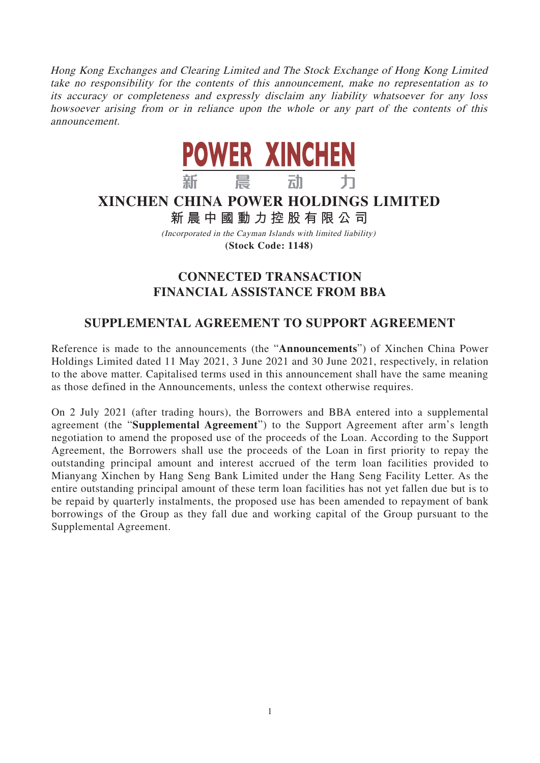Hong Kong Exchanges and Clearing Limited and The Stock Exchange of Hong Kong Limited take no responsibility for the contents of this announcement, make no representation as to its accuracy or completeness and expressly disclaim any liability whatsoever for any loss howsoever arising from or in reliance upon the whole or any part of the contents of this announcement.



## **XINCHEN CHINA POWER HOLDINGS LIMITED**

**新晨中國動力控股有限公 司**

(Incorporated in the Cayman Islands with limited liability) **(Stock Code: 1148)**

## **CONNECTED TRANSACTION FINANCIAL ASSISTANCE FROM BBA**

## **SUPPLEMENTAL AGREEMENT TO SUPPORT AGREEMENT**

Reference is made to the announcements (the "**Announcements**") of Xinchen China Power Holdings Limited dated 11 May 2021, 3 June 2021 and 30 June 2021, respectively, in relation to the above matter. Capitalised terms used in this announcement shall have the same meaning as those defined in the Announcements, unless the context otherwise requires.

On 2 July 2021 (after trading hours), the Borrowers and BBA entered into a supplemental agreement (the "**Supplemental Agreement**") to the Support Agreement after arm's length negotiation to amend the proposed use of the proceeds of the Loan. According to the Support Agreement, the Borrowers shall use the proceeds of the Loan in first priority to repay the outstanding principal amount and interest accrued of the term loan facilities provided to Mianyang Xinchen by Hang Seng Bank Limited under the Hang Seng Facility Letter. As the entire outstanding principal amount of these term loan facilities has not yet fallen due but is to be repaid by quarterly instalments, the proposed use has been amended to repayment of bank borrowings of the Group as they fall due and working capital of the Group pursuant to the Supplemental Agreement.